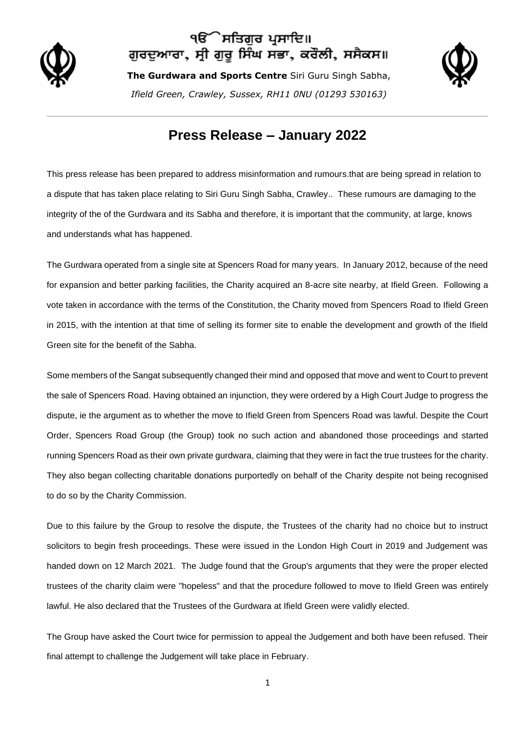

## ੇਸਤਿਗੁਰ ਪ੍ਰਸਾਦਿ॥ ਗੁਰਦੁਆਰਾ, ਸ੍ਰੀ ਗੁਰੂ ਸਿੰਘ ਸਭਾ, ਕਰੌਲੀ, ਸਸੈਕਸ॥

**The Gurdwara and Sports Centre** Siri Guru Singh Sabha, *Ifield Green, Crawley, Sussex, RH11 0NU (01293 530163)*



## **Press Release – January 2022**

This press release has been prepared to address misinformation and rumours.that are being spread in relation to a dispute that has taken place relating to Siri Guru Singh Sabha, Crawley.. These rumours are damaging to the integrity of the of the Gurdwara and its Sabha and therefore, it is important that the community, at large, knows and understands what has happened.

The Gurdwara operated from a single site at Spencers Road for many years. In January 2012, because of the need for expansion and better parking facilities, the Charity acquired an 8-acre site nearby, at Ifield Green. Following a vote taken in accordance with the terms of the Constitution, the Charity moved from Spencers Road to Ifield Green in 2015, with the intention at that time of selling its former site to enable the development and growth of the Ifield Green site for the benefit of the Sabha.

Some members of the Sangat subsequently changed their mind and opposed that move and went to Court to prevent the sale of Spencers Road. Having obtained an injunction, they were ordered by a High Court Judge to progress the dispute, ie the argument as to whether the move to Ifield Green from Spencers Road was lawful. Despite the Court Order, Spencers Road Group (the Group) took no such action and abandoned those proceedings and started running Spencers Road as their own private gurdwara, claiming that they were in fact the true trustees for the charity. They also began collecting charitable donations purportedly on behalf of the Charity despite not being recognised to do so by the Charity Commission.

Due to this failure by the Group to resolve the dispute, the Trustees of the charity had no choice but to instruct solicitors to begin fresh proceedings. These were issued in the London High Court in 2019 and Judgement was handed down on 12 March 2021. The Judge found that the Group's arguments that they were the proper elected trustees of the charity claim were "hopeless" and that the procedure followed to move to Ifield Green was entirely lawful. He also declared that the Trustees of the Gurdwara at Ifield Green were validly elected.

The Group have asked the Court twice for permission to appeal the Judgement and both have been refused. Their final attempt to challenge the Judgement will take place in February.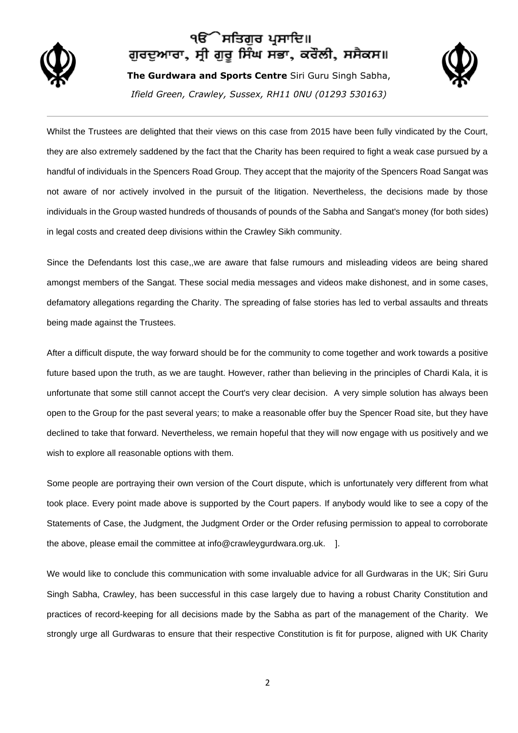

## ੧ੳ´ੇ ਸਤਿਗੁਰ ਪ੍ਰਸਾਦਿ॥ ਗੁਰਦੁਆਰਾ, ਸ੍ਰੀ ਗੁਰੂ ਸਿੰਘ ਸਭਾ, ਕਰੌਲੀ, ਸਸੈਕਸ॥

**The Gurdwara and Sports Centre** Siri Guru Singh Sabha, *Ifield Green, Crawley, Sussex, RH11 0NU (01293 530163)*



Whilst the Trustees are delighted that their views on this case from 2015 have been fully vindicated by the Court, they are also extremely saddened by the fact that the Charity has been required to fight a weak case pursued by a handful of individuals in the Spencers Road Group. They accept that the majority of the Spencers Road Sangat was not aware of nor actively involved in the pursuit of the litigation. Nevertheless, the decisions made by those individuals in the Group wasted hundreds of thousands of pounds of the Sabha and Sangat's money (for both sides) in legal costs and created deep divisions within the Crawley Sikh community.

Since the Defendants lost this case,,we are aware that false rumours and misleading videos are being shared amongst members of the Sangat. These social media messages and videos make dishonest, and in some cases, defamatory allegations regarding the Charity. The spreading of false stories has led to verbal assaults and threats being made against the Trustees.

After a difficult dispute, the way forward should be for the community to come together and work towards a positive future based upon the truth, as we are taught. However, rather than believing in the principles of Chardi Kala, it is unfortunate that some still cannot accept the Court's very clear decision. A very simple solution has always been open to the Group for the past several years; to make a reasonable offer buy the Spencer Road site, but they have declined to take that forward. Nevertheless, we remain hopeful that they will now engage with us positively and we wish to explore all reasonable options with them.

Some people are portraying their own version of the Court dispute, which is unfortunately very different from what took place. Every point made above is supported by the Court papers. If anybody would like to see a copy of the Statements of Case, the Judgment, the Judgment Order or the Order refusing permission to appeal to corroborate the above, please email the committee at info@crawleygurdwara.org.uk. ].

We would like to conclude this communication with some invaluable advice for all Gurdwaras in the UK; Siri Guru Singh Sabha, Crawley, has been successful in this case largely due to having a robust Charity Constitution and practices of record-keeping for all decisions made by the Sabha as part of the management of the Charity. We strongly urge all Gurdwaras to ensure that their respective Constitution is fit for purpose, aligned with UK Charity